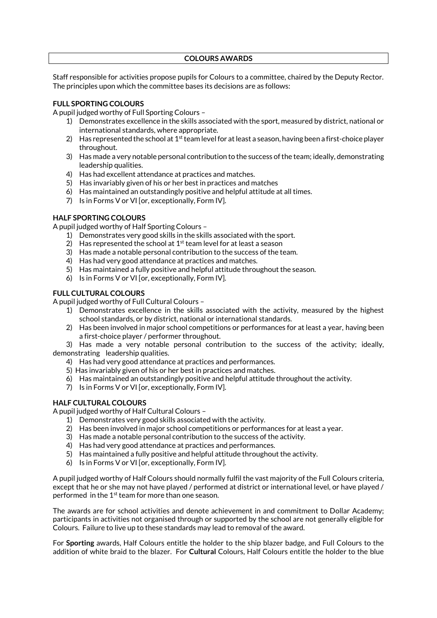#### **COLOURS AWARDS**

Staff responsible for activities propose pupils for Colours to a committee, chaired by the Deputy Rector. The principles upon which the committee bases its decisions are as follows:

# **FULL SPORTING COLOURS**

A pupil judged worthy of Full Sporting Colours –

- 1) Demonstrates excellence in the skills associated with the sport, measured by district, national or international standards, where appropriate.
- 2) Has represented the school at  $1<sup>st</sup>$  team level for at least a season, having been a first-choice player throughout.
- 3) Has made a very notable personal contribution to the success of the team; ideally, demonstrating leadership qualities.
- 4) Has had excellent attendance at practices and matches.
- 5) Has invariably given of his or her best in practices and matches
- 6) Has maintained an outstandingly positive and helpful attitude at all times.
- 7) Is in Forms V or VI [or, exceptionally, Form IV].

## **HALF SPORTING COLOURS**

A pupil judged worthy of Half Sporting Colours –

- 1) Demonstrates very good skills in the skills associated with the sport.
- 2) Has represented the school at  $1<sup>st</sup>$  team level for at least a season
- 3) Has made a notable personal contribution to the success of the team.
- 4) Has had very good attendance at practices and matches.
- 5) Has maintained a fully positive and helpful attitude throughout the season.
- 6) Is in Forms V or VI [or, exceptionally, Form IV].

## **FULL CULTURAL COLOURS**

A pupil judged worthy of Full Cultural Colours –

- 1) Demonstrates excellence in the skills associated with the activity, measured by the highest school standards, or by district, national or international standards.
- 2) Has been involved in major school competitions or performances for at least a year, having been a first-choice player / performer throughout.

3) Has made a very notable personal contribution to the success of the activity; ideally, demonstrating leadership qualities.

- 4) Has had very good attendance at practices and performances.
- 5) Has invariably given of his or her best in practices and matches.
- 6) Has maintained an outstandingly positive and helpful attitude throughout the activity.
- 7) Is in Forms V or VI [or, exceptionally, Form IV].

## **HALF CULTURAL COLOURS**

A pupil judged worthy of Half Cultural Colours –

- 1) Demonstrates very good skills associated with the activity.
- 2) Has been involved in major school competitions or performances for at least a year.
- 3) Has made a notable personal contribution to the success of the activity.
- 4) Has had very good attendance at practices and performances.
- 5) Has maintained a fully positive and helpful attitude throughout the activity.
- 6) Is in Forms V or VI [or, exceptionally, Form IV].

A pupil judged worthy of Half Colours should normally fulfil the vast majority of the Full Colours criteria, except that he or she may not have played / performed at district or international level, or have played / performed in the 1<sup>st</sup> team for more than one season.

The awards are for school activities and denote achievement in and commitment to Dollar Academy; participants in activities not organised through or supported by the school are not generally eligible for Colours. Failure to live up to these standards may lead to removal of the award.

For **Sporting** awards, Half Colours entitle the holder to the ship blazer badge, and Full Colours to the addition of white braid to the blazer. For **Cultural** Colours, Half Colours entitle the holder to the blue